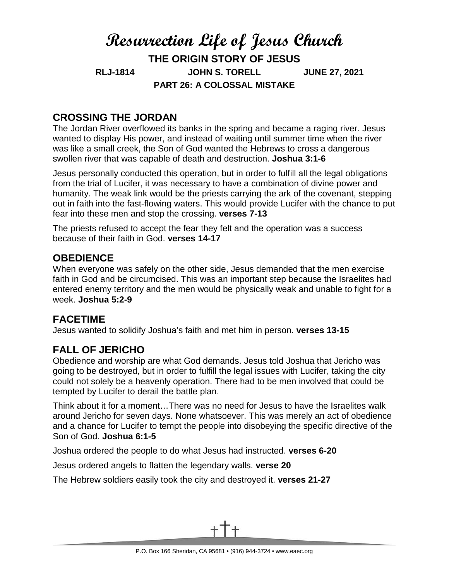# **Resurrection Life of Jesus Church THE ORIGIN STORY OF JESUS RLJ-1814 JOHN S. TORELL JUNE 27, 2021 PART 26: A COLOSSAL MISTAKE**

## **CROSSING THE JORDAN**

The Jordan River overflowed its banks in the spring and became a raging river. Jesus wanted to display His power, and instead of waiting until summer time when the river was like a small creek, the Son of God wanted the Hebrews to cross a dangerous swollen river that was capable of death and destruction. **Joshua 3:1-6**

Jesus personally conducted this operation, but in order to fulfill all the legal obligations from the trial of Lucifer, it was necessary to have a combination of divine power and humanity. The weak link would be the priests carrying the ark of the covenant, stepping out in faith into the fast-flowing waters. This would provide Lucifer with the chance to put fear into these men and stop the crossing. **verses 7-13**

The priests refused to accept the fear they felt and the operation was a success because of their faith in God. **verses 14-17**

#### **OBEDIENCE**

When everyone was safely on the other side, Jesus demanded that the men exercise faith in God and be circumcised. This was an important step because the Israelites had entered enemy territory and the men would be physically weak and unable to fight for a week. **Joshua 5:2-9**

### **FACETIME**

Jesus wanted to solidify Joshua's faith and met him in person. **verses 13-15**

### **FALL OF JERICHO**

Obedience and worship are what God demands. Jesus told Joshua that Jericho was going to be destroyed, but in order to fulfill the legal issues with Lucifer, taking the city could not solely be a heavenly operation. There had to be men involved that could be tempted by Lucifer to derail the battle plan.

Think about it for a moment…There was no need for Jesus to have the Israelites walk around Jericho for seven days. None whatsoever. This was merely an act of obedience and a chance for Lucifer to tempt the people into disobeying the specific directive of the Son of God. **Joshua 6:1-5**

Joshua ordered the people to do what Jesus had instructed. **verses 6-20**

Jesus ordered angels to flatten the legendary walls. **verse 20**

The Hebrew soldiers easily took the city and destroyed it. **verses 21-27**

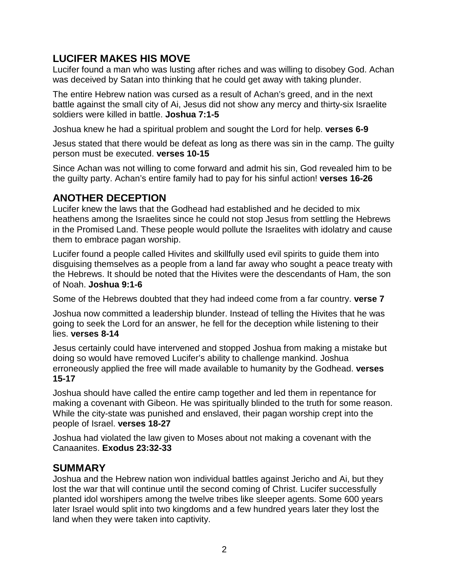### **LUCIFER MAKES HIS MOVE**

Lucifer found a man who was lusting after riches and was willing to disobey God. Achan was deceived by Satan into thinking that he could get away with taking plunder.

The entire Hebrew nation was cursed as a result of Achan's greed, and in the next battle against the small city of Ai, Jesus did not show any mercy and thirty-six Israelite soldiers were killed in battle. **Joshua 7:1-5**

Joshua knew he had a spiritual problem and sought the Lord for help. **verses 6-9** 

Jesus stated that there would be defeat as long as there was sin in the camp. The guilty person must be executed. **verses 10-15**

Since Achan was not willing to come forward and admit his sin, God revealed him to be the guilty party. Achan's entire family had to pay for his sinful action! **verses 16-26**

# **ANOTHER DECEPTION**

Lucifer knew the laws that the Godhead had established and he decided to mix heathens among the Israelites since he could not stop Jesus from settling the Hebrews in the Promised Land. These people would pollute the Israelites with idolatry and cause them to embrace pagan worship.

Lucifer found a people called Hivites and skillfully used evil spirits to guide them into disguising themselves as a people from a land far away who sought a peace treaty with the Hebrews. It should be noted that the Hivites were the descendants of Ham, the son of Noah. **Joshua 9:1-6**

Some of the Hebrews doubted that they had indeed come from a far country. **verse 7**

Joshua now committed a leadership blunder. Instead of telling the Hivites that he was going to seek the Lord for an answer, he fell for the deception while listening to their lies. **verses 8-14**

Jesus certainly could have intervened and stopped Joshua from making a mistake but doing so would have removed Lucifer's ability to challenge mankind. Joshua erroneously applied the free will made available to humanity by the Godhead. **verses 15-17**

Joshua should have called the entire camp together and led them in repentance for making a covenant with Gibeon. He was spiritually blinded to the truth for some reason. While the city-state was punished and enslaved, their pagan worship crept into the people of Israel. **verses 18-27**

Joshua had violated the law given to Moses about not making a covenant with the Canaanites. **Exodus 23:32-33**

#### **SUMMARY**

Joshua and the Hebrew nation won individual battles against Jericho and Ai, but they lost the war that will continue until the second coming of Christ. Lucifer successfully planted idol worshipers among the twelve tribes like sleeper agents. Some 600 years later Israel would split into two kingdoms and a few hundred years later they lost the land when they were taken into captivity.